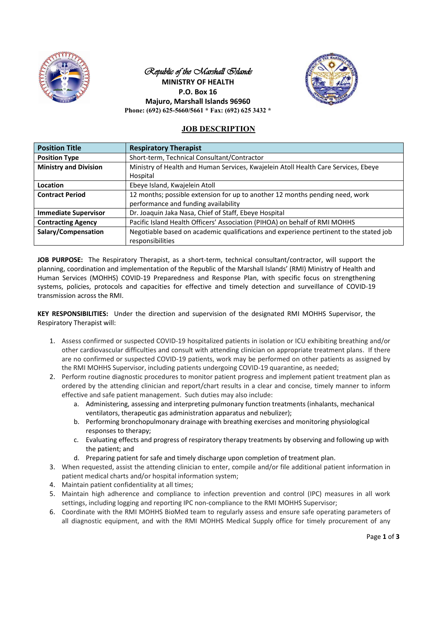

## Republic of the *Marshall Slands* **MINISTRY OF HEALTH P.O. Box 16 Majuro, Marshall Islands 96960 Phone: (692) 625-5660/5661 \* Fax: (692) 625 3432 \***



# **JOB DESCRIPTION**

| <b>Position Title</b>        | <b>Respiratory Therapist</b>                                                                   |
|------------------------------|------------------------------------------------------------------------------------------------|
| <b>Position Type</b>         | Short-term, Technical Consultant/Contractor                                                    |
| <b>Ministry and Division</b> | Ministry of Health and Human Services, Kwajelein Atoll Health Care Services, Ebeye<br>Hospital |
| Location                     | Ebeye Island, Kwajelein Atoll                                                                  |
| <b>Contract Period</b>       | 12 months; possible extension for up to another 12 months pending need, work                   |
|                              | performance and funding availability                                                           |
| <b>Immediate Supervisor</b>  | Dr. Joaquin Jaka Nasa, Chief of Staff, Ebeye Hospital                                          |
| <b>Contracting Agency</b>    | Pacific Island Health Officers' Association (PIHOA) on behalf of RMI MOHHS                     |
| Salary/Compensation          | Negotiable based on academic qualifications and experience pertinent to the stated job         |
|                              | responsibilities                                                                               |

**JOB PURPOSE:** The Respiratory Therapist, as a short-term, technical consultant/contractor, will support the planning, coordination and implementation of the Republic of the Marshall Islands' (RMI) Ministry of Health and Human Services (MOHHS) COVID-19 Preparedness and Response Plan, with specific focus on strengthening systems, policies, protocols and capacities for effective and timely detection and surveillance of COVID-19 transmission across the RMI.

**KEY RESPONSIBILITIES:** Under the direction and supervision of the designated RMI MOHHS Supervisor, the Respiratory Therapist will:

- 1. Assess confirmed or suspected COVID-19 hospitalized patients in isolation or ICU exhibiting breathing and/or other cardiovascular difficulties and consult with attending clinician on appropriate treatment plans. If there are no confirmed or suspected COVID-19 patients, work may be performed on other patients as assigned by the RMI MOHHS Supervisor, including patients undergoing COVID-19 quarantine, as needed;
- 2. Perform routine diagnostic procedures to monitor patient progress and implement patient treatment plan as ordered by the attending clinician and report/chart results in a clear and concise, timely manner to inform effective and safe patient management. Such duties may also include:
	- a. Administering, assessing and interpreting pulmonary function treatments (inhalants, mechanical ventilators, therapeutic gas administration apparatus and nebulizer);
	- b. Performing bronchopulmonary drainage with breathing exercises and monitoring physiological responses to therapy;
	- c. Evaluating effects and progress of respiratory therapy treatments by observing and following up with the patient; and
	- d. Preparing patient for safe and timely discharge upon completion of treatment plan.
- 3. When requested, assist the attending clinician to enter, compile and/or file additional patient information in patient medical charts and/or hospital information system;
- 4. Maintain patient confidentiality at all times;
- 5. Maintain high adherence and compliance to infection prevention and control (IPC) measures in all work settings, including logging and reporting IPC non-compliance to the RMI MOHHS Supervisor;
- 6. Coordinate with the RMI MOHHS BioMed team to regularly assess and ensure safe operating parameters of all diagnostic equipment, and with the RMI MOHHS Medical Supply office for timely procurement of any

Page **1** of **3**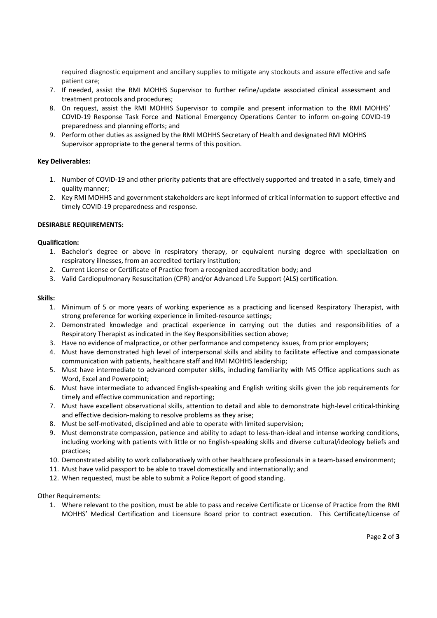required diagnostic equipment and ancillary supplies to mitigate any stockouts and assure effective and safe patient care;

- 7. If needed, assist the RMI MOHHS Supervisor to further refine/update associated clinical assessment and treatment protocols and procedures;
- 8. On request, assist the RMI MOHHS Supervisor to compile and present information to the RMI MOHHS' COVID-19 Response Task Force and National Emergency Operations Center to inform on-going COVID-19 preparedness and planning efforts; and
- 9. Perform other duties as assigned by the RMI MOHHS Secretary of Health and designated RMI MOHHS Supervisor appropriate to the general terms of this position.

#### **Key Deliverables:**

- 1. Number of COVID-19 and other priority patients that are effectively supported and treated in a safe, timely and quality manner;
- 2. Key RMI MOHHS and government stakeholders are kept informed of critical information to support effective and timely COVID-19 preparedness and response.

### **DESIRABLE REQUIREMENTS:**

#### **Qualification:**

- 1. Bachelor's degree or above in respiratory therapy, or equivalent nursing degree with specialization on respiratory illnesses, from an accredited tertiary institution;
- 2. Current License or Certificate of Practice from a recognized accreditation body; and
- 3. Valid Cardiopulmonary Resuscitation (CPR) and/or Advanced Life Support (ALS) certification.

#### **Skills:**

- 1. Minimum of 5 or more years of working experience as a practicing and licensed Respiratory Therapist, with strong preference for working experience in limited-resource settings;
- 2. Demonstrated knowledge and practical experience in carrying out the duties and responsibilities of a Respiratory Therapist as indicated in the Key Responsibilities section above;
- 3. Have no evidence of malpractice, or other performance and competency issues, from prior employers;
- 4. Must have demonstrated high level of interpersonal skills and ability to facilitate effective and compassionate communication with patients, healthcare staff and RMI MOHHS leadership;
- 5. Must have intermediate to advanced computer skills, including familiarity with MS Office applications such as Word, Excel and Powerpoint;
- 6. Must have intermediate to advanced English-speaking and English writing skills given the job requirements for timely and effective communication and reporting;
- 7. Must have excellent observational skills, attention to detail and able to demonstrate high-level critical-thinking and effective decision-making to resolve problems as they arise;
- 8. Must be self-motivated, disciplined and able to operate with limited supervision;
- 9. Must demonstrate compassion, patience and ability to adapt to less-than-ideal and intense working conditions, including working with patients with little or no English-speaking skills and diverse cultural/ideology beliefs and practices;
- 10. Demonstrated ability to work collaboratively with other healthcare professionals in a team-based environment;
- 11. Must have valid passport to be able to travel domestically and internationally; and
- 12. When requested, must be able to submit a Police Report of good standing.

#### Other Requirements:

1. Where relevant to the position, must be able to pass and receive Certificate or License of Practice from the RMI MOHHS' Medical Certification and Licensure Board prior to contract execution. This Certificate/License of